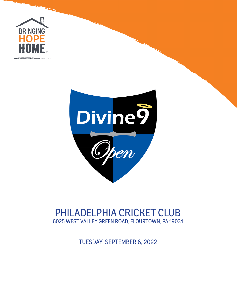



# PHILADELPHIA CRICKET CLUB 6025 WEST VALLEY GREEN ROAD, FLOURTOWN, PA 19031

TUESDAY, SEPTEMBER 6, 2022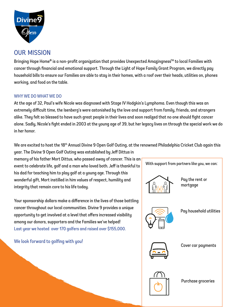

## our mission

Bringing Hope Home® is a non-profit organization that provides Unexpected Amazingness™ to local Families with cancer through financial and emotional support. Through the Light of Hope Family Grant Program, we directly pay household bills to ensure our Families are able to stay in their homes, with a roof over their heads, utilities on, phones working, and food on the table.

#### WHY WE DO WHAT WE DO

At the age of 32, Paul's wife Nicole was diagnosed with Stage IV Hodgkin's Lymphoma. Even though this was an extremely difficult time, the Isenberg's were astonished by the love and support from family, friends, and strangers alike. They felt so blessed to have such great people in their lives and soon realized that no one should fight cancer alone. Sadly, Nicole's fight ended in 2003 at the young age of 39, but her legacy lives on through the special work we do in her honor.

We are excited to host the 18<sup>th</sup> Annual Divine 9 Open Golf Outing, at the renowned Philadelphia Cricket Club again this year. The Divine 9 Open Golf Outing was established by Jeff Dittus in

memory of his father Mort Dittus, who passed away of cancer. This is an event to celebrate life, golf and a man who loved both. Jeff is thankful to his dad for teaching him to play golf at a young age. Through this wonderful gift, Mort instilled in him values of respect, humility and integrity that remain core to his life today.

Your sponsorship dollars make a difference in the lives of those battling cancer throughout our local communities. Divine 9 provides a unique opportunity to get involved at a level that offers increased visibility among our donors, supporters and the Families we've helped! Last year we hosted over 170 golfers and raised over \$155,000.

We look forward to golfing with you!

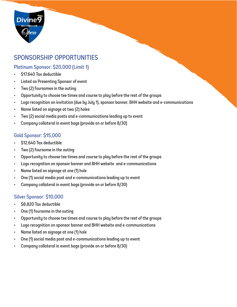

## sponsorship opportunities

## Platinum Sponsor: \$20,000 (Limit 1)

- \$17,640 Tax deductible
- Listed as Presenting Sponsor of event
- Two (2) foursomes in the outing
- Opportunity to choose tee times and course to play before the rest of the groups
- Logo recognition on invitation (due by July 1), sponsor banner, BHH website and e-communications
- Name listed on signage at two (2) holes
- Two (2) social media posts and e-communications leading up to event
- Company collateral in event bags (provide on or before 8/30)

#### Gold Sponsor: \$15,000

- \$12,640 Tax deductible
- Two (2) foursome in the outing
- Opportunity to choose tee times and course to play before the rest of the groups
- Logo recognition on sponsor banner and BHH website and e-communications
- Name listed on signage at one (1) hole
- One (1) social media post and e-communications leading up to event
- Company collateral in event bags (provide on or before 8/30)

## Silver Sponsor: \$10,000

- \$8,820 Tax deductible
- One (1) foursome in the outing
- Opportunity to choose tee times and course to play before the rest of the groups
- Logo recognition on sponsor banner and BHH website and e-communications
- Name listed on signage at one (1) hole
- One (1) social media post and e-communications leading up to event
- Company collateral in event bags (provide on or before 8/30)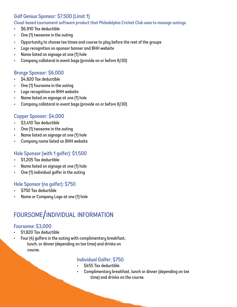## Golf Genius Sponsor: \$7,500 (Limit 1)

Cloud-based tournament software product that Philadelphia Cricket Club uses to manage outings.

- \$6,910 Tax deductible
- One (1) twosome in the outing
- Opportunity to choose tee times and course to play before the rest of the groups
- Logo recognition on sponsor banner and BHH website
- Name listed on signage at one (1) hole
- Company collateral in event bags (provide on or before 8/30)

## Bronze Sponsor: \$6,000

- \$4,820 Tax deductible
- One (1) foursome in the outing
- Logo recognition on BHH website
- Name listed on signage at one (1) hole
- Company collateral in event bags (provide on or before 8/30)

## Copper Sponsor: \$4,000

- \$3,410 Tax deductible
- One (1) twosome in the outing
- Name listed on signage at one (1) hole
- Company name listed on BHH website

### Hole Sponsor (with 1 golfer): \$1,500

- \$1,205 Tax deductible
- Name listed on signage at one (1) hole
- One (1) individual golfer in the outing

## Hole Sponsor (no golfer): \$750

- \$750 Tax deductible
- Name or Company Logo at one (1) hole

# foursome/individual information

## Foursome: \$3,000

- \$1,820 Tax deductible
- Four (4) golfers in the outing with complimentary breakfast, lunch, or dinner (depending on tee time) and drinks on course.

#### Individual Golfer; \$750

- \$455 Tax deductible
- Complimentary breakfast, lunch or dinner (depending on tee time) and drinks on the course.